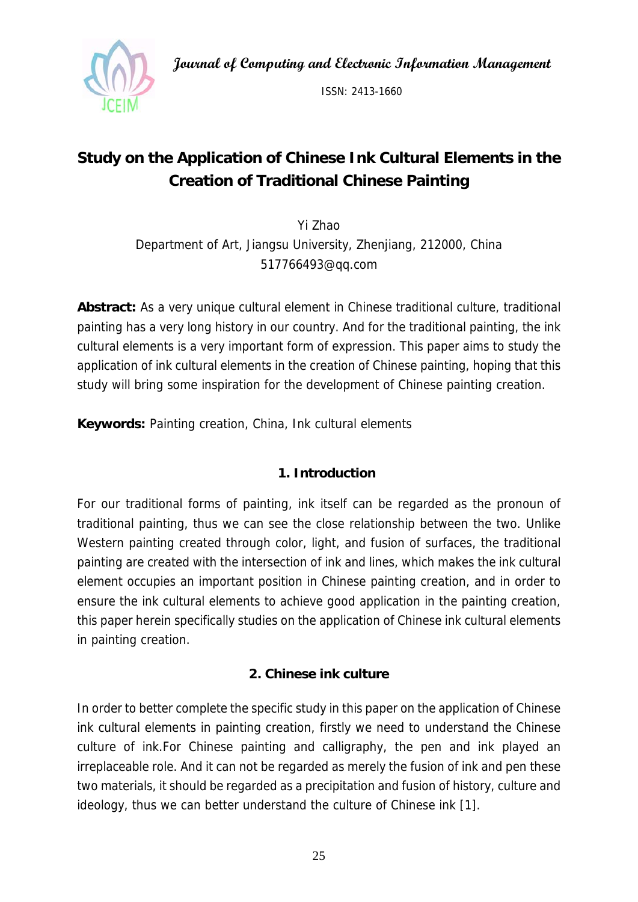**Journal of Computing and Electronic Information Management** 



ISSN: 2413-1660

# **Study on the Application of Chinese Ink Cultural Elements in the Creation of Traditional Chinese Painting**

Yi Zhao Department of Art, Jiangsu University, Zhenjiang, 212000, China 517766493@qq.com

**Abstract:** As a very unique cultural element in Chinese traditional culture, traditional painting has a very long history in our country. And for the traditional painting, the ink cultural elements is a very important form of expression. This paper aims to study the application of ink cultural elements in the creation of Chinese painting, hoping that this study will bring some inspiration for the development of Chinese painting creation.

**Keywords:** Painting creation, China, Ink cultural elements

# **1. Introduction**

For our traditional forms of painting, ink itself can be regarded as the pronoun of traditional painting, thus we can see the close relationship between the two. Unlike Western painting created through color, light, and fusion of surfaces, the traditional painting are created with the intersection of ink and lines, which makes the ink cultural element occupies an important position in Chinese painting creation, and in order to ensure the ink cultural elements to achieve good application in the painting creation, this paper herein specifically studies on the application of Chinese ink cultural elements in painting creation.

# **2. Chinese ink culture**

In order to better complete the specific study in this paper on the application of Chinese ink cultural elements in painting creation, firstly we need to understand the Chinese culture of ink.For Chinese painting and calligraphy, the pen and ink played an irreplaceable role. And it can not be regarded as merely the fusion of ink and pen these two materials, it should be regarded as a precipitation and fusion of history, culture and ideology, thus we can better understand the culture of Chinese ink [1].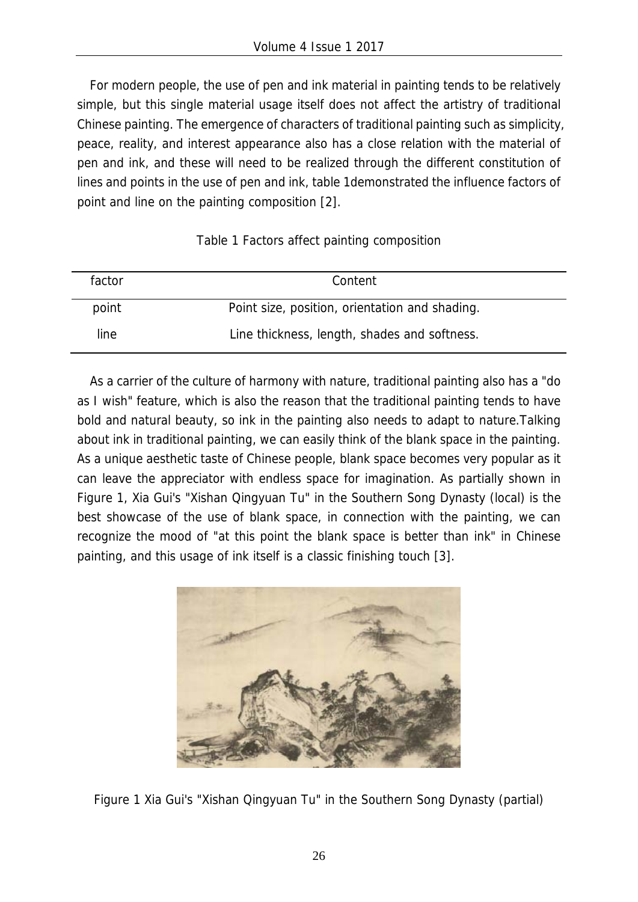For modern people, the use of pen and ink material in painting tends to be relatively simple, but this single material usage itself does not affect the artistry of traditional Chinese painting. The emergence of characters of traditional painting such as simplicity, peace, reality, and interest appearance also has a close relation with the material of pen and ink, and these will need to be realized through the different constitution of lines and points in the use of pen and ink, table 1demonstrated the influence factors of point and line on the painting composition [2].

#### Table 1 Factors affect painting composition

| factor | Content                                        |  |
|--------|------------------------------------------------|--|
| point  | Point size, position, orientation and shading. |  |
| line.  | Line thickness, length, shades and softness.   |  |

As a carrier of the culture of harmony with nature, traditional painting also has a "do as I wish" feature, which is also the reason that the traditional painting tends to have bold and natural beauty, so ink in the painting also needs to adapt to nature.Talking about ink in traditional painting, we can easily think of the blank space in the painting. As a unique aesthetic taste of Chinese people, blank space becomes very popular as it can leave the appreciator with endless space for imagination. As partially shown in Figure 1, Xia Gui's "Xishan Qingyuan Tu" in the Southern Song Dynasty (local) is the best showcase of the use of blank space, in connection with the painting, we can recognize the mood of "at this point the blank space is better than ink" in Chinese painting, and this usage of ink itself is a classic finishing touch [3].



Figure 1 Xia Gui's "Xishan Qingyuan Tu" in the Southern Song Dynasty (partial)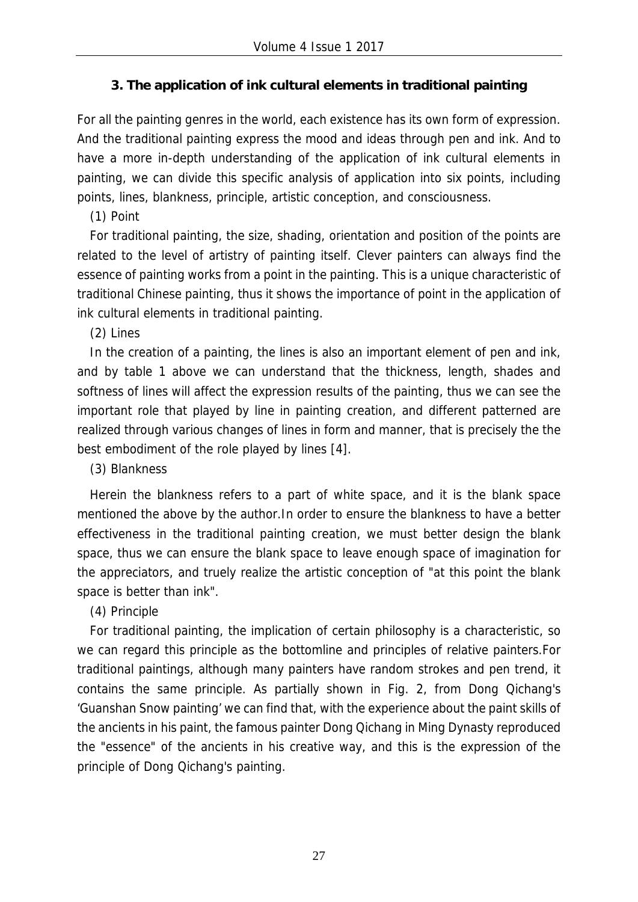### **3. The application of ink cultural elements in traditional painting**

For all the painting genres in the world, each existence has its own form of expression. And the traditional painting express the mood and ideas through pen and ink. And to have a more in-depth understanding of the application of ink cultural elements in painting, we can divide this specific analysis of application into six points, including points, lines, blankness, principle, artistic conception, and consciousness.

(1) Point

For traditional painting, the size, shading, orientation and position of the points are related to the level of artistry of painting itself. Clever painters can always find the essence of painting works from a point in the painting. This is a unique characteristic of traditional Chinese painting, thus it shows the importance of point in the application of ink cultural elements in traditional painting.

(2) Lines

In the creation of a painting, the lines is also an important element of pen and ink, and by table 1 above we can understand that the thickness, length, shades and softness of lines will affect the expression results of the painting, thus we can see the important role that played by line in painting creation, and different patterned are realized through various changes of lines in form and manner, that is precisely the the best embodiment of the role played by lines [4].

(3) Blankness

Herein the blankness refers to a part of white space, and it is the blank space mentioned the above by the author.In order to ensure the blankness to have a better effectiveness in the traditional painting creation, we must better design the blank space, thus we can ensure the blank space to leave enough space of imagination for the appreciators, and truely realize the artistic conception of "at this point the blank space is better than ink".

(4) Principle

For traditional painting, the implication of certain philosophy is a characteristic, so we can regard this principle as the bottomline and principles of relative painters.For traditional paintings, although many painters have random strokes and pen trend, it contains the same principle. As partially shown in Fig. 2, from Dong Qichang's 'Guanshan Snow painting' we can find that, with the experience about the paint skills of the ancients in his paint, the famous painter Dong Qichang in Ming Dynasty reproduced the "essence" of the ancients in his creative way, and this is the expression of the principle of Dong Qichang's painting.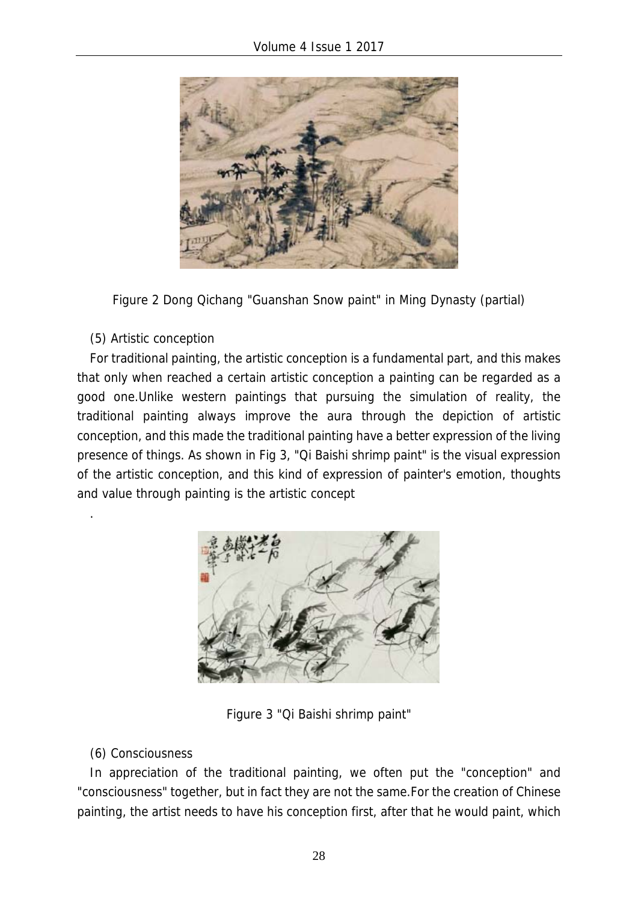

Figure 2 Dong Qichang "Guanshan Snow paint" in Ming Dynasty (partial)

(5) Artistic conception

.

For traditional painting, the artistic conception is a fundamental part, and this makes that only when reached a certain artistic conception a painting can be regarded as a good one.Unlike western paintings that pursuing the simulation of reality, the traditional painting always improve the aura through the depiction of artistic conception, and this made the traditional painting have a better expression of the living presence of things. As shown in Fig 3, "Qi Baishi shrimp paint" is the visual expression of the artistic conception, and this kind of expression of painter's emotion, thoughts and value through painting is the artistic concept



Figure 3 "Qi Baishi shrimp paint"

#### (6) Consciousness

In appreciation of the traditional painting, we often put the "conception" and "consciousness" together, but in fact they are not the same.For the creation of Chinese painting, the artist needs to have his conception first, after that he would paint, which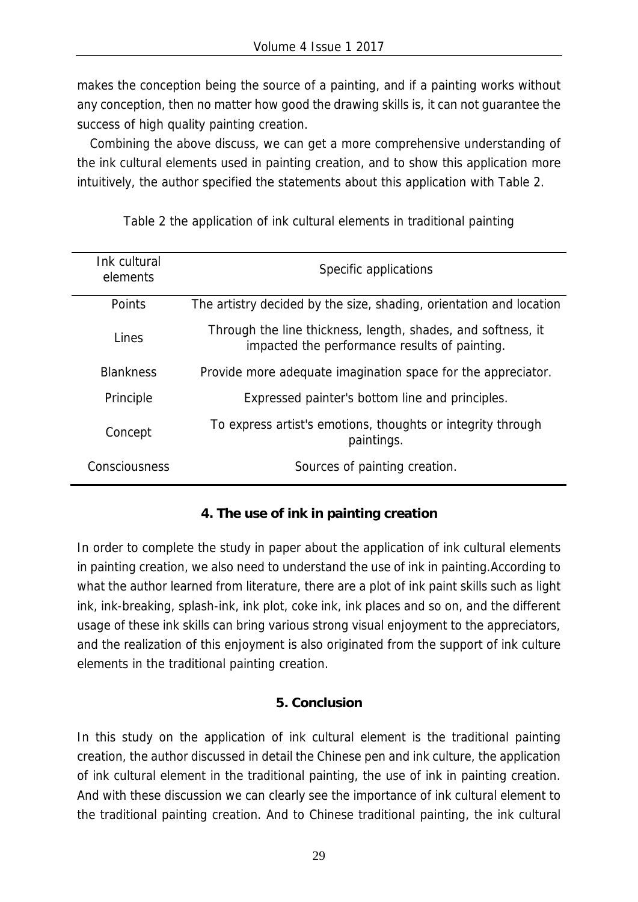makes the conception being the source of a painting, and if a painting works without any conception, then no matter how good the drawing skills is, it can not guarantee the success of high quality painting creation.

Combining the above discuss, we can get a more comprehensive understanding of the ink cultural elements used in painting creation, and to show this application more intuitively, the author specified the statements about this application with Table 2.

| Ink cultural<br>elements | Specific applications                                                                                         |
|--------------------------|---------------------------------------------------------------------------------------------------------------|
| Points                   | The artistry decided by the size, shading, orientation and location                                           |
| Lines                    | Through the line thickness, length, shades, and softness, it<br>impacted the performance results of painting. |
| <b>Blankness</b>         | Provide more adequate imagination space for the appreciator.                                                  |
| Principle                | Expressed painter's bottom line and principles.                                                               |
| Concept                  | To express artist's emotions, thoughts or integrity through<br>paintings.                                     |
| Consciousness            | Sources of painting creation.                                                                                 |

Table 2 the application of ink cultural elements in traditional painting

# **4. The use of ink in painting creation**

In order to complete the study in paper about the application of ink cultural elements in painting creation, we also need to understand the use of ink in painting.According to what the author learned from literature, there are a plot of ink paint skills such as light ink, ink-breaking, splash-ink, ink plot, coke ink, ink places and so on, and the different usage of these ink skills can bring various strong visual enjoyment to the appreciators, and the realization of this enjoyment is also originated from the support of ink culture elements in the traditional painting creation.

#### **5. Conclusion**

In this study on the application of ink cultural element is the traditional painting creation, the author discussed in detail the Chinese pen and ink culture, the application of ink cultural element in the traditional painting, the use of ink in painting creation. And with these discussion we can clearly see the importance of ink cultural element to the traditional painting creation. And to Chinese traditional painting, the ink cultural